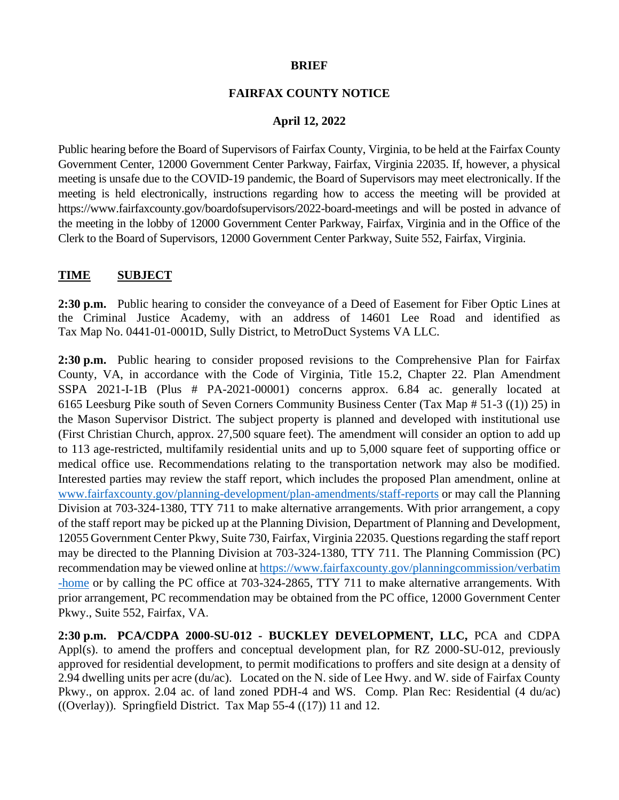## **BRIEF**

## **FAIRFAX COUNTY NOTICE**

## **April 12, 2022**

Public hearing before the Board of Supervisors of Fairfax County, Virginia, to be held at the Fairfax County Government Center, 12000 Government Center Parkway, Fairfax, Virginia 22035. If, however, a physical meeting is unsafe due to the COVID-19 pandemic, the Board of Supervisors may meet electronically. If the meeting is held electronically, instructions regarding how to access the meeting will be provided at https://www.fairfaxcounty.gov/boardofsupervisors/2022-board-meetings and will be posted in advance of the meeting in the lobby of 12000 Government Center Parkway, Fairfax, Virginia and in the Office of the Clerk to the Board of Supervisors, 12000 Government Center Parkway, Suite 552, Fairfax, Virginia.

## **TIME SUBJECT**

**2:30 p.m.** Public hearing to consider the conveyance of a Deed of Easement for Fiber Optic Lines at the Criminal Justice Academy, with an address of 14601 Lee Road and identified as Tax Map No. 0441-01-0001D, Sully District, to MetroDuct Systems VA LLC.

**2:30 p.m.** Public hearing to consider proposed revisions to the Comprehensive Plan for Fairfax County, VA, in accordance with the Code of Virginia, Title 15.2, Chapter 22. Plan Amendment SSPA 2021-I-1B (Plus # PA-2021-00001) concerns approx. 6.84 ac. generally located at 6165 Leesburg Pike south of Seven Corners Community Business Center (Tax Map # 51-3 ((1)) 25) in the Mason Supervisor District. The subject property is planned and developed with institutional use (First Christian Church, approx. 27,500 square feet). The amendment will consider an option to add up to 113 age-restricted, multifamily residential units and up to 5,000 square feet of supporting office or medical office use. Recommendations relating to the transportation network may also be modified. Interested parties may review the staff report, which includes the proposed Plan amendment, online at [www.fairfaxcounty.gov/planning-development/plan-amendments/staff-reports](http://www.fairfaxcounty.gov/planning-development/plan-amendments/staff-reports) or may call the Planning Division at 703-324-1380, TTY 711 to make alternative arrangements. With prior arrangement, a copy of the staff report may be picked up at the Planning Division, Department of Planning and Development, 12055 Government Center Pkwy, Suite 730, Fairfax, Virginia 22035. Questions regarding the staff report may be directed to the Planning Division at 703-324-1380, TTY 711. The Planning Commission (PC) recommendation may be viewed online at [https://www.fairfaxcounty.gov/planningcommission/verbatim](https://www.fairfaxcounty.gov/planningcommission/verbatim-home) [-home](https://www.fairfaxcounty.gov/planningcommission/verbatim-home) or by calling the PC office at 703-324-2865, TTY 711 to make alternative arrangements. With prior arrangement, PC recommendation may be obtained from the PC office, 12000 Government Center Pkwy., Suite 552, Fairfax, VA.

**2:30 p.m. PCA/CDPA 2000-SU-012 - BUCKLEY DEVELOPMENT, LLC,** PCA and CDPA Appl(s). to amend the proffers and conceptual development plan, for RZ 2000-SU-012, previously approved for residential development, to permit modifications to proffers and site design at a density of 2.94 dwelling units per acre (du/ac). Located on the N. side of Lee Hwy. and W. side of Fairfax County Pkwy., on approx. 2.04 ac. of land zoned PDH-4 and WS. Comp. Plan Rec: Residential (4 du/ac) ((Overlay)). Springfield District. Tax Map  $55-4$  ((17)) 11 and 12.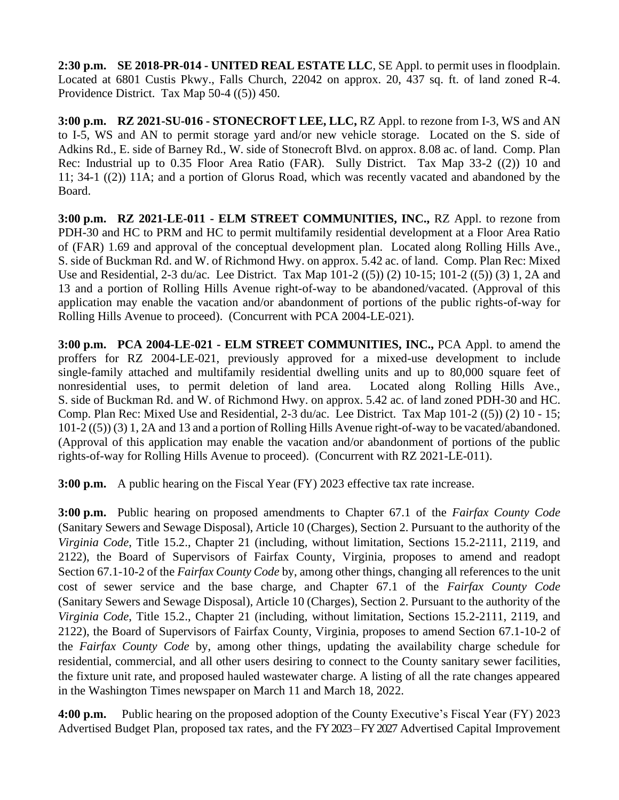**2:30 p.m. SE 2018-PR-014 - UNITED REAL ESTATE LLC**, SE Appl. to permit uses in floodplain. Located at 6801 Custis Pkwy., Falls Church, 22042 on approx. 20, 437 sq. ft. of land zoned R-4. Providence District. Tax Map 50-4 ((5)) 450.

**3:00 p.m. RZ 2021-SU-016 - STONECROFT LEE, LLC,** RZ Appl. to rezone from I-3, WS and AN to I-5, WS and AN to permit storage yard and/or new vehicle storage. Located on the S. side of Adkins Rd., E. side of Barney Rd., W. side of Stonecroft Blvd. on approx. 8.08 ac. of land. Comp. Plan Rec: Industrial up to 0.35 Floor Area Ratio (FAR). Sully District. Tax Map 33-2 ((2)) 10 and 11; 34-1 ((2)) 11A; and a portion of Glorus Road, which was recently vacated and abandoned by the Board.

**3:00 p.m. RZ 2021-LE-011 - ELM STREET COMMUNITIES, INC.,** RZ Appl. to rezone from PDH-30 and HC to PRM and HC to permit multifamily residential development at a Floor Area Ratio of (FAR) 1.69 and approval of the conceptual development plan. Located along Rolling Hills Ave., S. side of Buckman Rd. and W. of Richmond Hwy. on approx. 5.42 ac. of land. Comp. Plan Rec: Mixed Use and Residential, 2-3 du/ac. Lee District. Tax Map 101-2 ((5)) (2) 10-15; 101-2 ((5)) (3) 1, 2A and 13 and a portion of Rolling Hills Avenue right-of-way to be abandoned/vacated. (Approval of this application may enable the vacation and/or abandonment of portions of the public rights-of-way for Rolling Hills Avenue to proceed). (Concurrent with PCA 2004-LE-021).

**3:00 p.m. PCA 2004-LE-021 - ELM STREET COMMUNITIES, INC.,** PCA Appl. to amend the proffers for RZ 2004-LE-021, previously approved for a mixed-use development to include single-family attached and multifamily residential dwelling units and up to 80,000 square feet of nonresidential uses, to permit deletion of land area. Located along Rolling Hills Ave., S. side of Buckman Rd. and W. of Richmond Hwy. on approx. 5.42 ac. of land zoned PDH-30 and HC. Comp. Plan Rec: Mixed Use and Residential, 2-3 du/ac. Lee District. Tax Map 101-2 ((5)) (2) 10 - 15; 101-2 ((5)) (3) 1, 2A and 13 and a portion of Rolling Hills Avenue right-of-way to be vacated/abandoned. (Approval of this application may enable the vacation and/or abandonment of portions of the public rights-of-way for Rolling Hills Avenue to proceed). (Concurrent with RZ 2021-LE-011).

**3:00 p.m.** A public hearing on the Fiscal Year (FY) 2023 effective tax rate increase.

**3:00 p.m.** Public hearing on proposed amendments to Chapter 67.1 of the *Fairfax County Code* (Sanitary Sewers and Sewage Disposal), Article 10 (Charges), Section 2. Pursuant to the authority of the *Virginia Code*, Title 15.2., Chapter 21 (including, without limitation, Sections 15.2-2111, 2119, and 2122), the Board of Supervisors of Fairfax County, Virginia, proposes to amend and readopt Section 67.1-10-2 of the *Fairfax County Code* by, among other things, changing all references to the unit cost of sewer service and the base charge, and Chapter 67.1 of the *Fairfax County Code* (Sanitary Sewers and Sewage Disposal), Article 10 (Charges), Section 2. Pursuant to the authority of the *Virginia Code*, Title 15.2., Chapter 21 (including, without limitation, Sections 15.2-2111, 2119, and 2122), the Board of Supervisors of Fairfax County, Virginia, proposes to amend Section 67.1-10-2 of the *Fairfax County Code* by, among other things, updating the availability charge schedule for residential, commercial, and all other users desiring to connect to the County sanitary sewer facilities, the fixture unit rate, and proposed hauled wastewater charge. A listing of all the rate changes appeared in the Washington Times newspaper on March 11 and March 18, 2022.

**4:00 p.m.** Public hearing on the proposed adoption of the County Executive's Fiscal Year (FY) 2023 Advertised Budget Plan, proposed tax rates, and the FY 2023–FY 2027 Advertised Capital Improvement